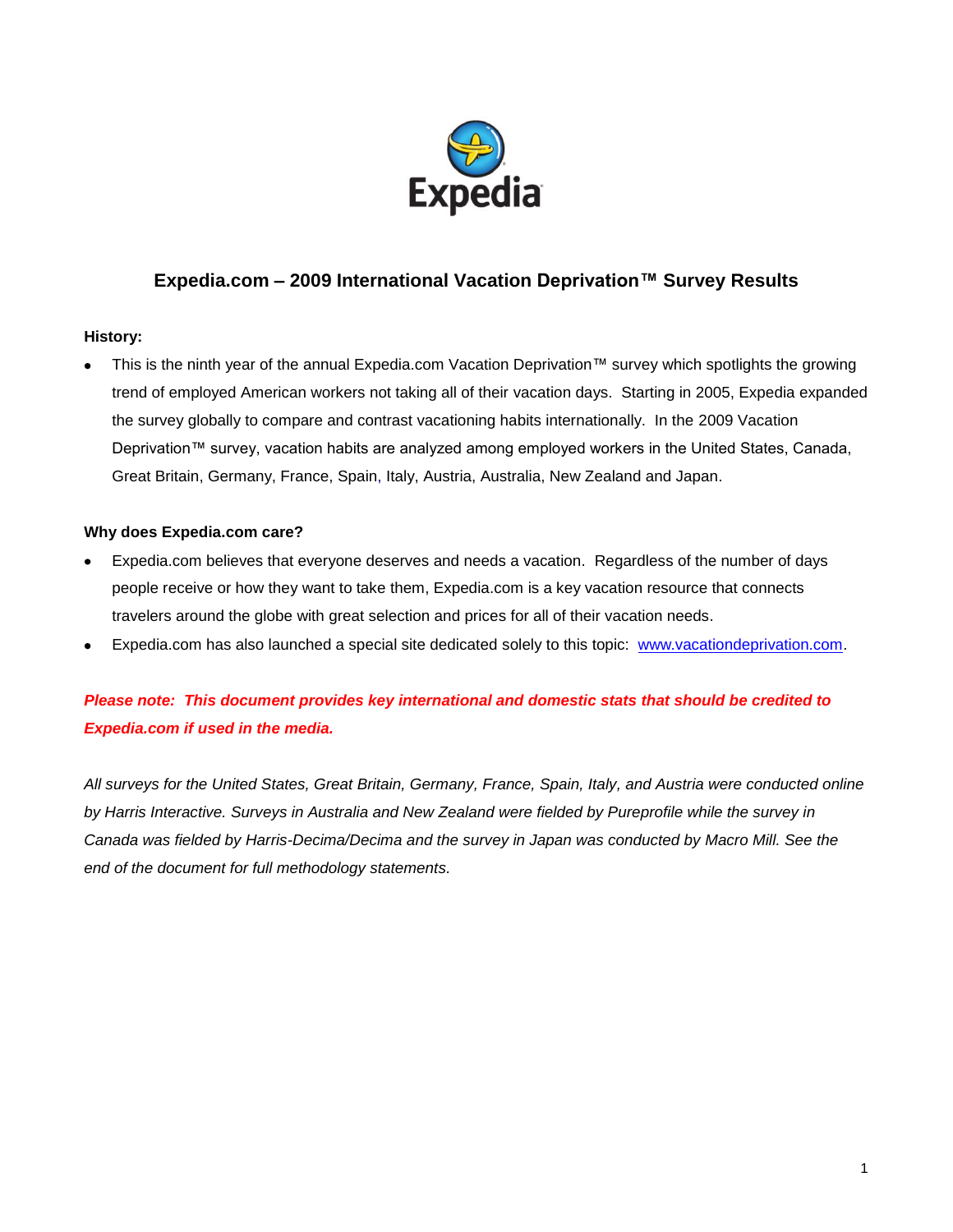

# **Expedia.com – 2009 International Vacation Deprivation™ Survey Results**

### **History:**

This is the ninth year of the annual Expedia.com Vacation Deprivation™ survey which spotlights the growing trend of employed American workers not taking all of their vacation days. Starting in 2005, Expedia expanded the survey globally to compare and contrast vacationing habits internationally. In the 2009 Vacation Deprivation™ survey, vacation habits are analyzed among employed workers in the United States, Canada, Great Britain, Germany, France, Spain, Italy, Austria, Australia, New Zealand and Japan.

### **Why does Expedia.com care?**

- Expedia.com believes that everyone deserves and needs a vacation. Regardless of the number of days people receive or how they want to take them, Expedia.com is a key vacation resource that connects travelers around the globe with great selection and prices for all of their vacation needs.
- Expedia.com has also launched a special site dedicated solely to this topic: [www.vacationdeprivation.com.](http://www.vacationdeprivation.com/)

# *Please note: This document provides key international and domestic stats that should be credited to Expedia.com if used in the media.*

*All surveys for the United States, Great Britain, Germany, France, Spain, Italy, and Austria were conducted online by Harris Interactive. Surveys in Australia and New Zealand were fielded by Pureprofile while the survey in Canada was fielded by Harris-Decima/Decima and the survey in Japan was conducted by Macro Mill. See the end of the document for full methodology statements.*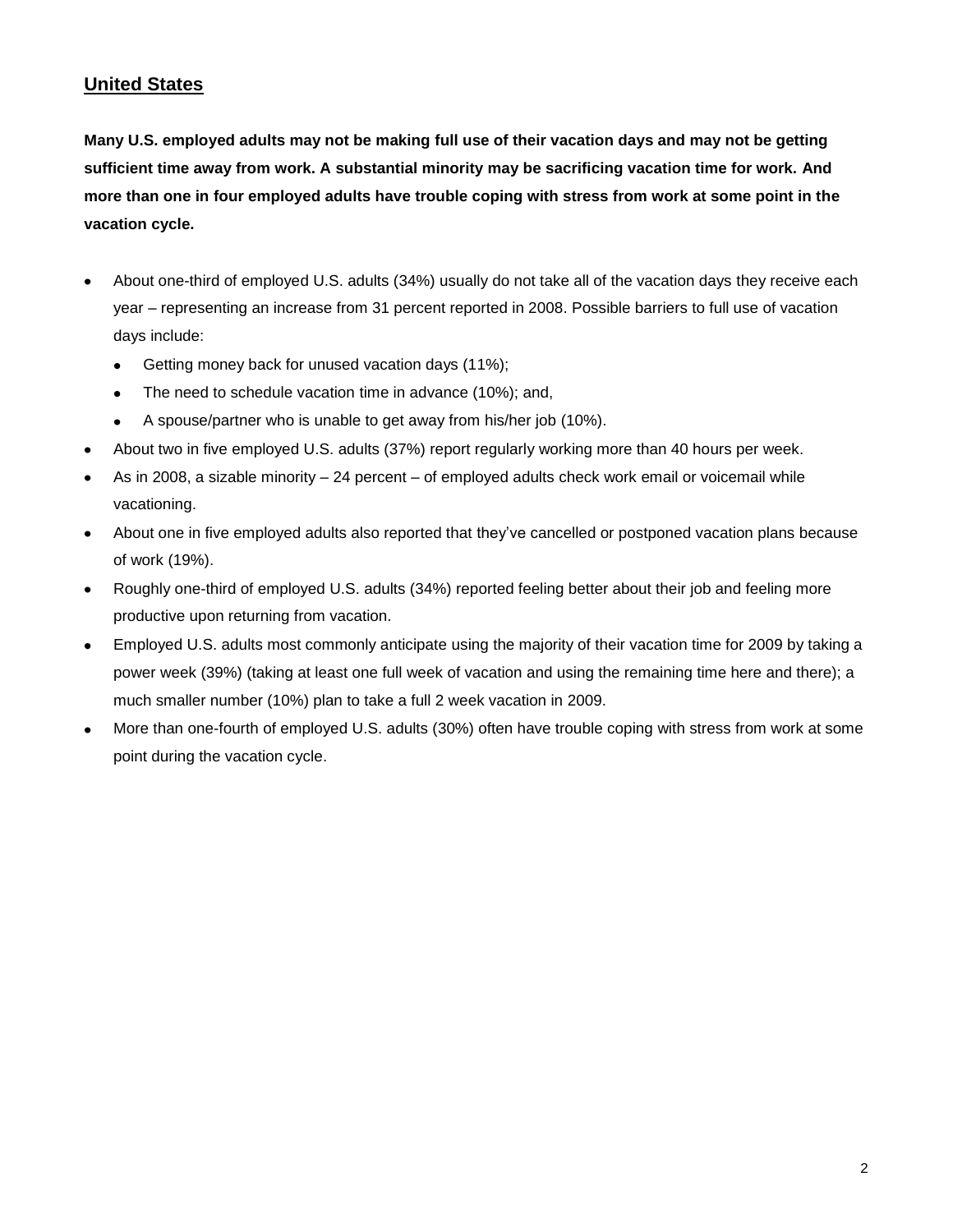# **United States**

**Many U.S. employed adults may not be making full use of their vacation days and may not be getting sufficient time away from work. A substantial minority may be sacrificing vacation time for work. And more than one in four employed adults have trouble coping with stress from work at some point in the vacation cycle.**

- About one-third of employed U.S. adults (34%) usually do not take all of the vacation days they receive each year – representing an increase from 31 percent reported in 2008. Possible barriers to full use of vacation days include:
	- $\bullet$ Getting money back for unused vacation days (11%);
	- The need to schedule vacation time in advance (10%); and,  $\bullet$
	- A spouse/partner who is unable to get away from his/her job (10%).  $\bullet$
- About two in five employed U.S. adults (37%) report regularly working more than 40 hours per week.
- As in 2008, a sizable minority 24 percent of employed adults check work email or voicemail while vacationing.
- About one in five employed adults also reported that they've cancelled or postponed vacation plans because of work (19%).
- Roughly one-third of employed U.S. adults (34%) reported feeling better about their job and feeling more  $\bullet$ productive upon returning from vacation.
- Employed U.S. adults most commonly anticipate using the majority of their vacation time for 2009 by taking a  $\bullet$ power week (39%) (taking at least one full week of vacation and using the remaining time here and there); a much smaller number (10%) plan to take a full 2 week vacation in 2009.
- More than one-fourth of employed U.S. adults (30%) often have trouble coping with stress from work at some point during the vacation cycle.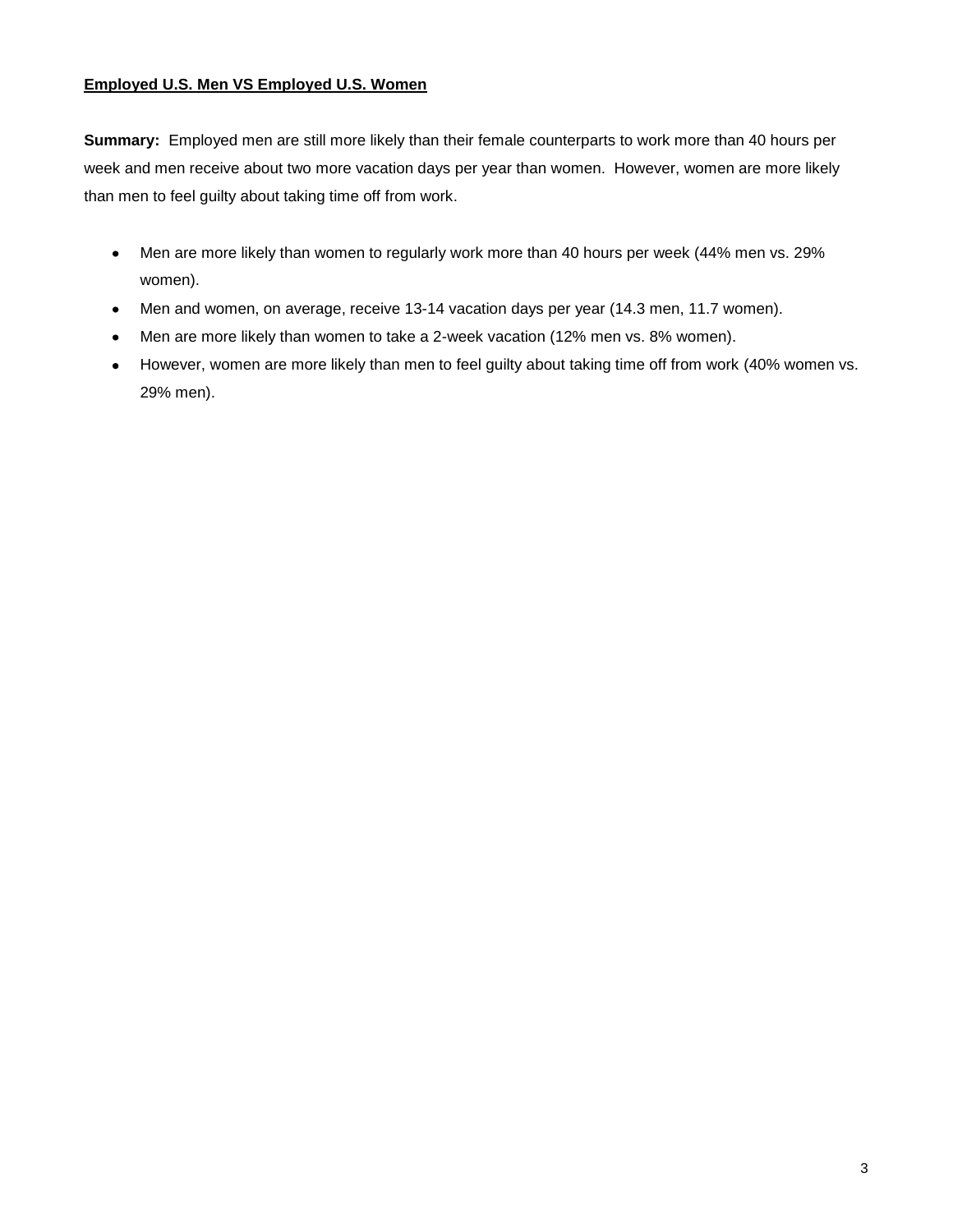## **Employed U.S. Men VS Employed U.S. Women**

**Summary:** Employed men are still more likely than their female counterparts to work more than 40 hours per week and men receive about two more vacation days per year than women. However, women are more likely than men to feel guilty about taking time off from work.

- Men are more likely than women to regularly work more than 40 hours per week (44% men vs. 29%  $\bullet$ women).
- Men and women, on average, receive 13-14 vacation days per year (14.3 men, 11.7 women).  $\bullet$
- Men are more likely than women to take a 2-week vacation (12% men vs. 8% women).
- However, women are more likely than men to feel guilty about taking time off from work (40% women vs. 29% men).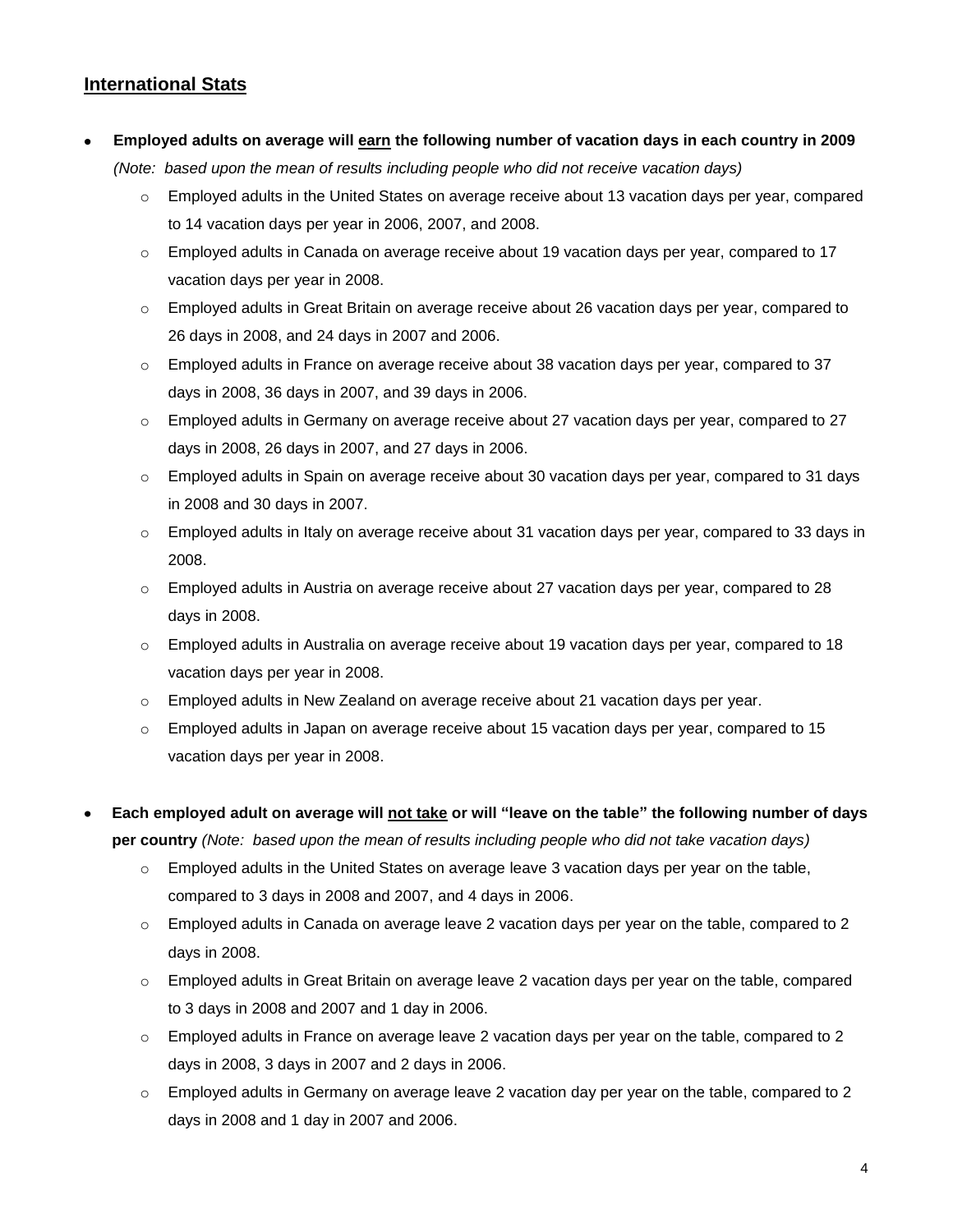# **International Stats**

## **Employed adults on average will earn the following number of vacation days in each country in 2009**

*(Note: based upon the mean of results including people who did not receive vacation days)*

- o Employed adults in the United States on average receive about 13 vacation days per year, compared to 14 vacation days per year in 2006, 2007, and 2008.
- o Employed adults in Canada on average receive about 19 vacation days per year, compared to 17 vacation days per year in 2008.
- o Employed adults in Great Britain on average receive about 26 vacation days per year, compared to 26 days in 2008, and 24 days in 2007 and 2006.
- $\circ$  Employed adults in France on average receive about 38 vacation days per year, compared to 37 days in 2008, 36 days in 2007, and 39 days in 2006.
- $\circ$  Employed adults in Germany on average receive about 27 vacation days per year, compared to 27 days in 2008, 26 days in 2007, and 27 days in 2006.
- $\circ$  Employed adults in Spain on average receive about 30 vacation days per year, compared to 31 days in 2008 and 30 days in 2007.
- $\circ$  Employed adults in Italy on average receive about 31 vacation days per year, compared to 33 days in 2008.
- o Employed adults in Austria on average receive about 27 vacation days per year, compared to 28 days in 2008.
- $\circ$  Employed adults in Australia on average receive about 19 vacation days per year, compared to 18 vacation days per year in 2008.
- o Employed adults in New Zealand on average receive about 21 vacation days per year.
- $\circ$  Employed adults in Japan on average receive about 15 vacation days per year, compared to 15 vacation days per year in 2008.
- **Each employed adult on average will not take or will "leave on the table" the following number of days per country** *(Note: based upon the mean of results including people who did not take vacation days)*
	- o Employed adults in the United States on average leave 3 vacation days per year on the table, compared to 3 days in 2008 and 2007, and 4 days in 2006.
	- o Employed adults in Canada on average leave 2 vacation days per year on the table, compared to 2 days in 2008.
	- o Employed adults in Great Britain on average leave 2 vacation days per year on the table, compared to 3 days in 2008 and 2007 and 1 day in 2006.
	- $\circ$  Employed adults in France on average leave 2 vacation days per year on the table, compared to 2 days in 2008, 3 days in 2007 and 2 days in 2006.
	- $\circ$  Employed adults in Germany on average leave 2 vacation day per year on the table, compared to 2 days in 2008 and 1 day in 2007 and 2006.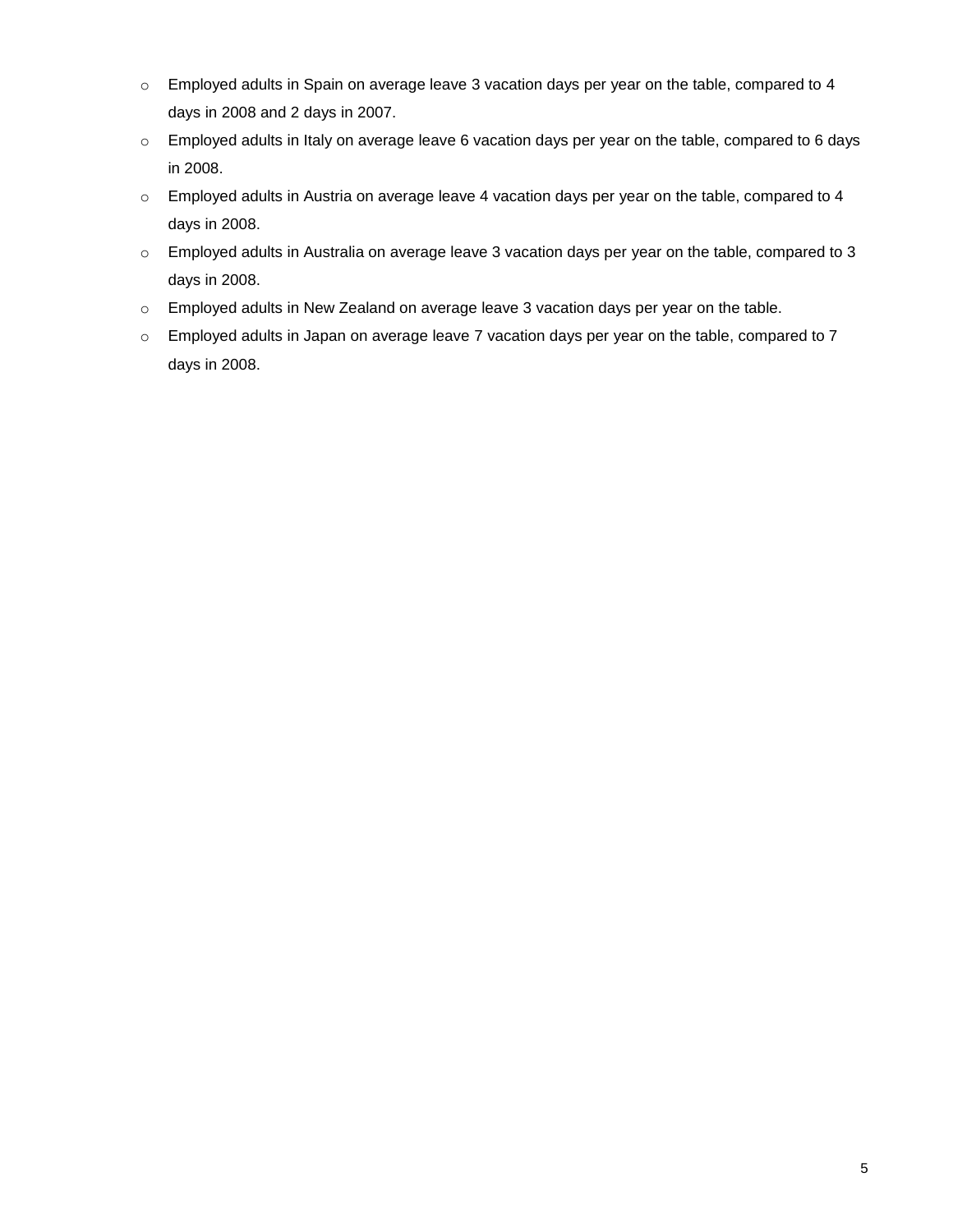- $\circ$  Employed adults in Spain on average leave 3 vacation days per year on the table, compared to 4 days in 2008 and 2 days in 2007.
- o Employed adults in Italy on average leave 6 vacation days per year on the table, compared to 6 days in 2008.
- o Employed adults in Austria on average leave 4 vacation days per year on the table, compared to 4 days in 2008.
- o Employed adults in Australia on average leave 3 vacation days per year on the table, compared to 3 days in 2008.
- o Employed adults in New Zealand on average leave 3 vacation days per year on the table.
- o Employed adults in Japan on average leave 7 vacation days per year on the table, compared to 7 days in 2008.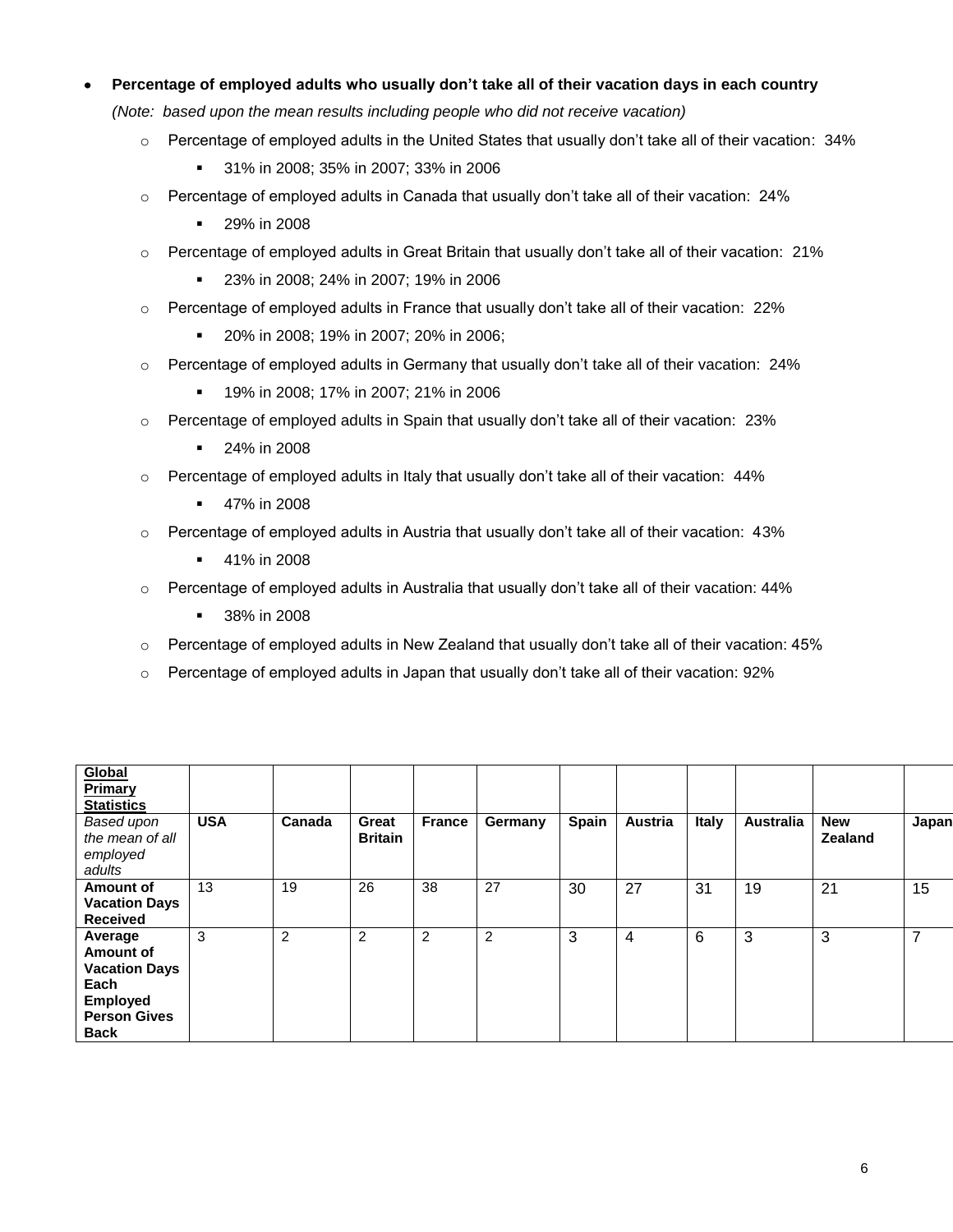## **Percentage of employed adults who usually don't take all of their vacation days in each country**

*(Note: based upon the mean results including people who did not receive vacation)*

- $\circ$  Percentage of employed adults in the United States that usually don't take all of their vacation: 34%
	- 31% in 2008; 35% in 2007; 33% in 2006
- $\circ$  Percentage of employed adults in Canada that usually don't take all of their vacation: 24%
	- **29% in 2008**
- o Percentage of employed adults in Great Britain that usually don't take all of their vacation: 21%
	- 23% in 2008; 24% in 2007; 19% in 2006
- o Percentage of employed adults in France that usually don't take all of their vacation: 22%
	- **20% in 2008; 19% in 2007; 20% in 2006;**
- $\circ$  Percentage of employed adults in Germany that usually don't take all of their vacation: 24%
	- 19% in 2008; 17% in 2007; 21% in 2006
- $\circ$  Percentage of employed adults in Spain that usually don't take all of their vacation: 23%
	- **24% in 2008**
- $\circ$  Percentage of employed adults in Italy that usually don't take all of their vacation: 44%
	- **47% in 2008**
- $\circ$  Percentage of employed adults in Austria that usually don't take all of their vacation: 43%
	- **41% in 2008**
- $\circ$  Percentage of employed adults in Australia that usually don't take all of their vacation: 44%
	- **38% in 2008**
- $\circ$  Percentage of employed adults in New Zealand that usually don't take all of their vacation: 45%
- $\circ$  Percentage of employed adults in Japan that usually don't take all of their vacation: 92%

| Global<br>Primary<br><b>Statistics</b><br>Based upon<br>the mean of all<br>employed<br>adults                 | <b>USA</b> | Canada | Great<br><b>Britain</b> | <b>France</b> | Germany | Spain | Austria | <b>Italy</b> | <b>Australia</b> | <b>New</b><br><b>Zealand</b> | Japan |
|---------------------------------------------------------------------------------------------------------------|------------|--------|-------------------------|---------------|---------|-------|---------|--------------|------------------|------------------------------|-------|
| Amount of<br><b>Vacation Days</b><br><b>Received</b>                                                          | 13         | 19     | 26                      | 38            | 27      | 30    | 27      | 31           | 19               | 21                           | 15    |
| Average<br>Amount of<br><b>Vacation Days</b><br>Each<br><b>Employed</b><br><b>Person Gives</b><br><b>Back</b> | 3          | 2      | 2                       | 2             | 2       | 3     | 4       | 6            | 3                | 3                            | 7     |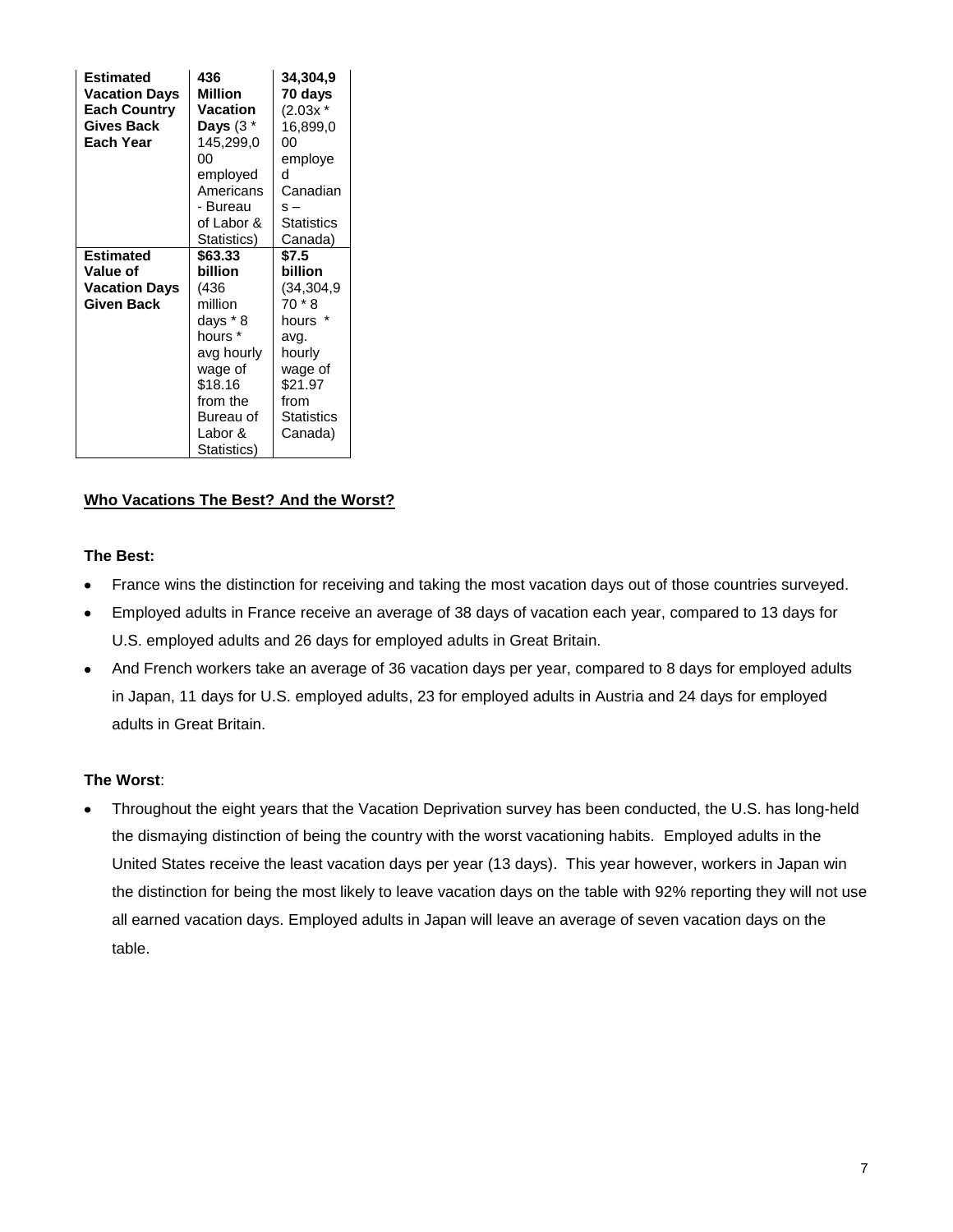| <b>Vacation Days</b><br><b>Each Country</b><br>Gives Back<br>Each Year | Vacation<br>Days $(3^{\ast})$<br>145,299,0<br>00<br>employed<br>Americans<br>- Bureau<br>of Labor &            | $(2.03x *$<br>16,899,0<br>00<br>employe<br>d<br>Canadian<br>$s -$<br><b>Statistics</b>                            |
|------------------------------------------------------------------------|----------------------------------------------------------------------------------------------------------------|-------------------------------------------------------------------------------------------------------------------|
|                                                                        | Statistics)                                                                                                    | Canada)                                                                                                           |
| <b>Estimated</b><br>Value of                                           | \$63.33<br>billion                                                                                             | \$7.5<br>billion                                                                                                  |
| <b>Vacation Days</b><br>Given Back                                     | (436<br>million<br>days * 8<br>hours *<br>avg hourly<br>wage of<br>\$18.16<br>from the<br>Bureau of<br>Labor & | (34, 304, 9)<br>70 * 8<br>hours *<br>avg.<br>hourly<br>wage of<br>\$21.97<br>from<br><b>Statistics</b><br>Canada) |

## **Who Vacations The Best? And the Worst?**

### **The Best:**

- France wins the distinction for receiving and taking the most vacation days out of those countries surveyed.
- Employed adults in France receive an average of 38 days of vacation each year, compared to 13 days for U.S. employed adults and 26 days for employed adults in Great Britain.
- And French workers take an average of 36 vacation days per year, compared to 8 days for employed adults in Japan, 11 days for U.S. employed adults, 23 for employed adults in Austria and 24 days for employed adults in Great Britain.

## **The Worst**:

Throughout the eight years that the Vacation Deprivation survey has been conducted, the U.S. has long-held the dismaying distinction of being the country with the worst vacationing habits. Employed adults in the United States receive the least vacation days per year (13 days). This year however, workers in Japan win the distinction for being the most likely to leave vacation days on the table with 92% reporting they will not use all earned vacation days. Employed adults in Japan will leave an average of seven vacation days on the table.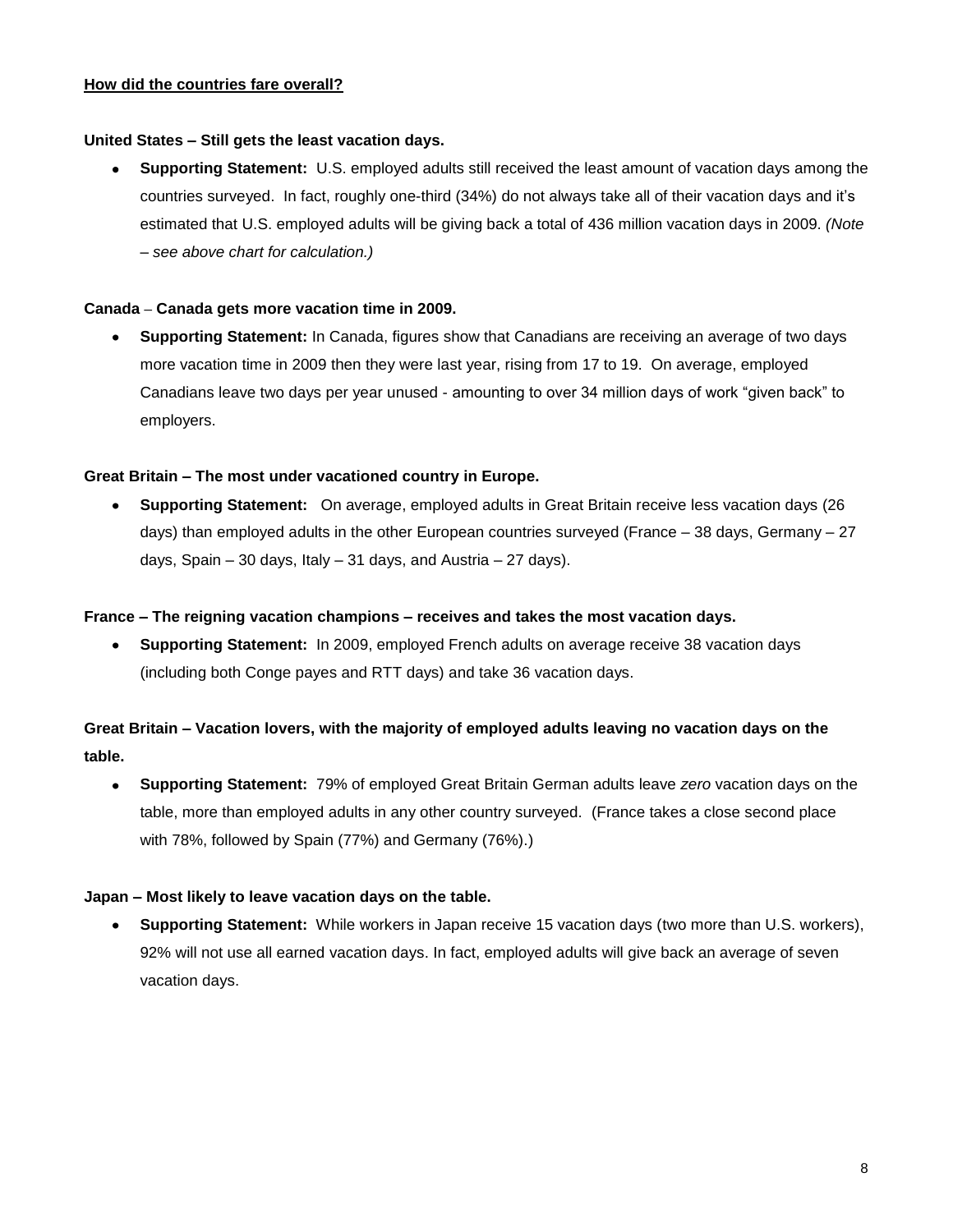#### **How did the countries fare overall?**

### **United States – Still gets the least vacation days.**

**Supporting Statement:** U.S. employed adults still received the least amount of vacation days among the countries surveyed. In fact, roughly one-third (34%) do not always take all of their vacation days and it's estimated that U.S. employed adults will be giving back a total of 436 million vacation days in 2009. *(Note – see above chart for calculation.)*

### **Canada – Canada gets more vacation time in 2009.**

**Supporting Statement:** In Canada, figures show that Canadians are receiving an average of two days more vacation time in 2009 then they were last year, rising from 17 to 19. On average, employed Canadians leave two days per year unused - amounting to over 34 million days of work "given back" to employers.

### **Great Britain – The most under vacationed country in Europe.**

**Supporting Statement:** On average, employed adults in Great Britain receive less vacation days (26 days) than employed adults in the other European countries surveyed (France  $-38$  days, Germany  $-27$ days, Spain – 30 days, Italy – 31 days, and Austria – 27 days).

#### **France – The reigning vacation champions – receives and takes the most vacation days.**

**Supporting Statement:** In 2009, employed French adults on average receive 38 vacation days (including both Conge payes and RTT days) and take 36 vacation days.

# **Great Britain – Vacation lovers, with the majority of employed adults leaving no vacation days on the table.**

 $\bullet$ **Supporting Statement:** 79% of employed Great Britain German adults leave *zero* vacation days on the table, more than employed adults in any other country surveyed. (France takes a close second place with 78%, followed by Spain (77%) and Germany (76%).)

#### **Japan – Most likely to leave vacation days on the table.**

**Supporting Statement:** While workers in Japan receive 15 vacation days (two more than U.S. workers), 92% will not use all earned vacation days. In fact, employed adults will give back an average of seven vacation days.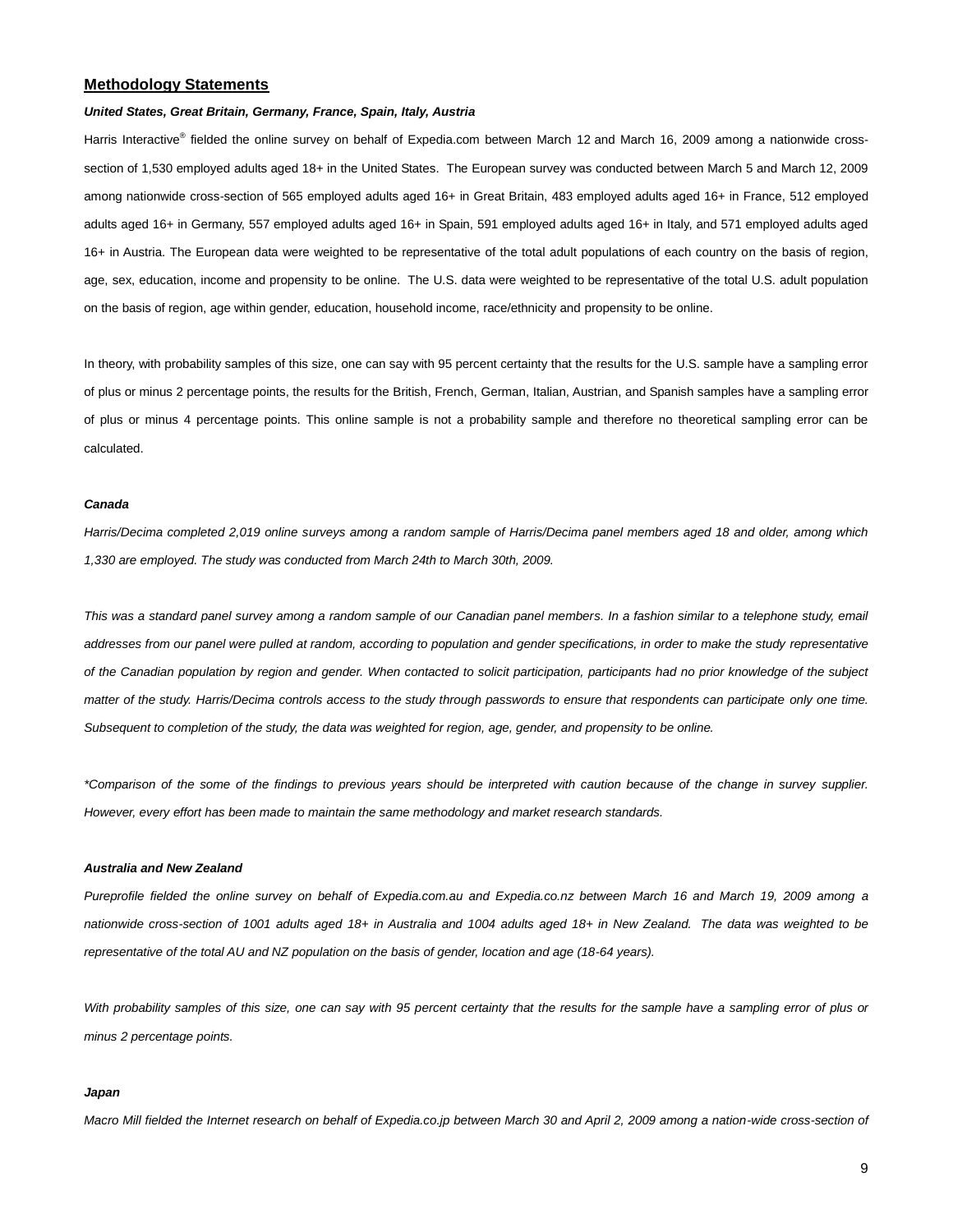#### **Methodology Statements**

#### *United States, Great Britain, Germany, France, Spain, Italy, Austria*

Harris Interactive<sup>®</sup> fielded the online survey on behalf of Expedia.com between March 12 and March 16, 2009 among a nationwide crosssection of 1,530 employed adults aged 18+ in the United States. The European survey was conducted between March 5 and March 12, 2009 among nationwide cross-section of 565 employed adults aged 16+ in Great Britain, 483 employed adults aged 16+ in France, 512 employed adults aged 16+ in Germany, 557 employed adults aged 16+ in Spain, 591 employed adults aged 16+ in Italy, and 571 employed adults aged 16+ in Austria. The European data were weighted to be representative of the total adult populations of each country on the basis of region, age, sex, education, income and propensity to be online. The U.S. data were weighted to be representative of the total U.S. adult population on the basis of region, age within gender, education, household income, race/ethnicity and propensity to be online.

In theory, with probability samples of this size, one can say with 95 percent certainty that the results for the U.S. sample have a sampling error of plus or minus 2 percentage points, the results for the British, French, German, Italian, Austrian, and Spanish samples have a sampling error of plus or minus 4 percentage points. This online sample is not a probability sample and therefore no theoretical sampling error can be calculated.

#### *Canada*

*Harris/Decima completed 2,019 online surveys among a random sample of Harris/Decima panel members aged 18 and older, among which 1,330 are employed. The study was conducted from March 24th to March 30th, 2009.*

This was a standard panel survey among a random sample of our Canadian panel members. In a fashion similar to a telephone study, email *addresses from our panel were pulled at random, according to population and gender specifications, in order to make the study representative of the Canadian population by region and gender. When contacted to solicit participation, participants had no prior knowledge of the subject matter of the study. Harris/Decima controls access to the study through passwords to ensure that respondents can participate only one time. Subsequent to completion of the study, the data was weighted for region, age, gender, and propensity to be online.* 

*\*Comparison of the some of the findings to previous years should be interpreted with caution because of the change in survey supplier. However, every effort has been made to maintain the same methodology and market research standards.*

#### *Australia and New Zealand*

*Pureprofile fielded the online survey on behalf of Expedia.com.au and Expedia.co.nz between March 16 and March 19, 2009 among a nationwide cross-section of 1001 adults aged 18+ in Australia and 1004 adults aged 18+ in New Zealand. The data was weighted to be representative of the total AU and NZ population on the basis of gender, location and age (18-64 years).*

*With probability samples of this size, one can say with 95 percent certainty that the results for the sample have a sampling error of plus or minus 2 percentage points.*

#### *Japan*

*Macro Mill fielded the Internet research on behalf of Expedia.co.jp between March 30 and April 2, 2009 among a nation-wide cross-section of*